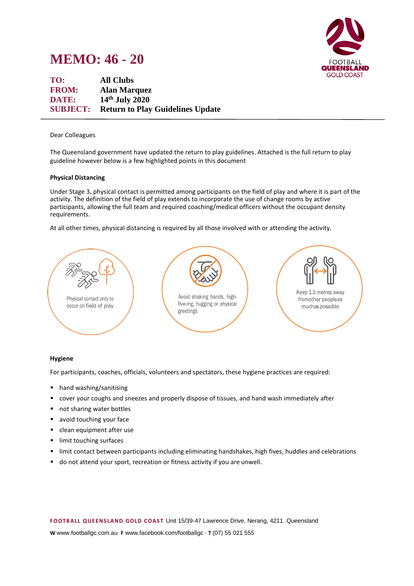



**TO: All Clubs FROM: Alan Marquez DATE: 14th July 2020 SUBJECT: Return to Play Guidelines Update**

### Dear Colleagues

The Queensland government have updated the return to play guidelines. Attached is the full return to play guideline however below is a few highlighted points in this document

### **Physical Distancing**

Under Stage 3, physical contact is permitted among participants on the field of play and where it is part of the activity. The definition of the field of play extends to incorporate the use of change rooms by active participants, allowing the full team and required coaching/medical officers without the occupant density requirements.

At all other times, physical distancing is required by all those involved with or attending the activity.



# **Hygiene**

For participants, coaches, officials, volunteers and spectators, these hygiene practices are required:

- hand washing/sanitising
- cover your coughs and sneezes and properly dispose of tissues, and hand wash immediately after
- not sharing water bottles
- avoid touching your face
- clean equipment after use
- limit touching surfaces
- limit contact between participants including eliminating handshakes, high fives, huddles and celebrations
- do not attend your sport, recreation or fitness activity if you are unwell.

**F OOTB ALL Q UE EN S LAN D GOLD C OAS T** Unit 15/39-47 Lawrence Drive, Nerang, 4211. Queensland

**W** www.footballgc.com.au. **F** www.facebook.com/footballgc . **T** (07) 55 021 555